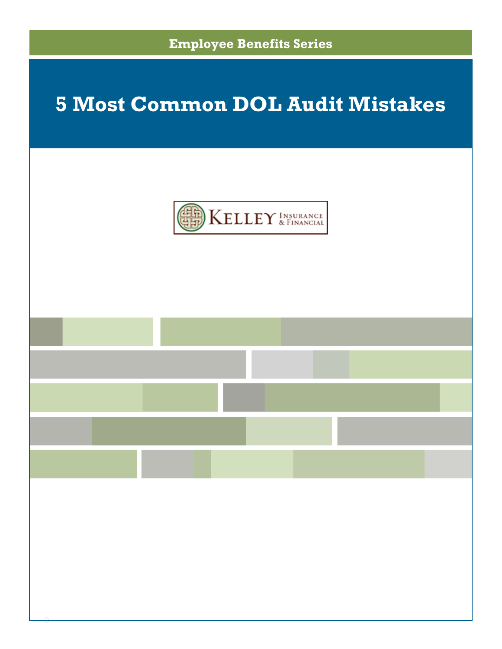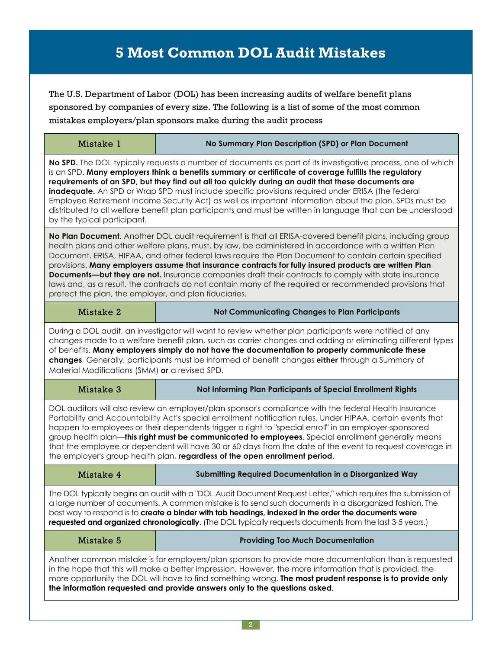## **5 Most Common DOL Audit Mistakes**

The U.S. Department of Labor (DOL) has been increasing audits of welfare benefit plans sponsored by companies of every size. The following is a list of some of the most common mistakes employers/plan sponsors make during the audit process

| Mistake 1                                                                                                                                                                                                                                                                                                                                                                                                                                                                                                                                                                                                                                                                                                               | No Summary Plan Description (SPD) or Plan Document           |
|-------------------------------------------------------------------------------------------------------------------------------------------------------------------------------------------------------------------------------------------------------------------------------------------------------------------------------------------------------------------------------------------------------------------------------------------------------------------------------------------------------------------------------------------------------------------------------------------------------------------------------------------------------------------------------------------------------------------------|--------------------------------------------------------------|
| No SPD. The DOL typically requests a number of documents as part of its investigative process, one of which<br>is an SPD. Many employers think a benefits summary or certificate of coverage fulfills the regulatory<br>requirements of an SPD, but they find out all too quickly during an audit that these documents are<br><b>inadequate.</b> An SPD or Wrap SPD must include specific provisions required under ERISA (the federal<br>Employee Retirement Income Security Act) as well as important information about the plan. SPDs must be<br>distributed to all welfare benefit plan participants and must be written in language that can be understood<br>by the typical participant.                          |                                                              |
| No Plan Document. Another DOL audit requirement is that all ERISA-covered benefit plans, including group<br>health plans and other welfare plans, must, by law, be administered in accordance with a written Plan<br>Document. ERISA, HIPAA, and other federal laws require the Plan Document to contain certain specified<br>provisions. Many employers assume that insurance contracts for fully insured products are written Plan<br><b>Documents—but they are not.</b> Insurance companies draft their contracts to comply with state insurance<br>laws and, as a result, the contracts do not contain many of the required or recommended provisions that<br>protect the plan, the employer, and plan fiduciaries. |                                                              |
| Mistake 2                                                                                                                                                                                                                                                                                                                                                                                                                                                                                                                                                                                                                                                                                                               | <b>Not Communicating Changes to Plan Participants</b>        |
| During a DOL audit, an investigator will want to review whether plan participants were notified of any<br>changes made to a welfare benefit plan, such as carrier changes and adding or eliminating different types<br>of benefits. Many employers simply do not have the documentation to properly communicate these<br>changes. Generally, participants must be informed of benefit changes either through a Summary of<br>Material Modifications (SMM) or a revised SPD.                                                                                                                                                                                                                                             |                                                              |
| Mistake 3                                                                                                                                                                                                                                                                                                                                                                                                                                                                                                                                                                                                                                                                                                               | Not Informing Plan Participants of Special Enrollment Rights |
| DOL auditors will also review an employer/plan sponsor's compliance with the federal Health Insurance<br>Portability and Accountability Act's special enrollment notification rules. Under HIPAA, certain events that<br>happen to employees or their dependents trigger a right to "special enroll" in an employer-sponsored<br>group health plan— <b>this right must be communicated to employees</b> . Special enrollment generally means<br>that the employee or dependent will have 30 or 60 days from the date of the event to request coverage in<br>the employer's group health plan, regardless of the open enrollment period.                                                                                 |                                                              |
| Mistake 4                                                                                                                                                                                                                                                                                                                                                                                                                                                                                                                                                                                                                                                                                                               | Submitting Required Documentation in a Disorganized Way      |
| The DOL typically begins an audit with a "DOL Audit Document Request Letter," which requires the submission of<br>a large number of documents. A common mistake is to send such documents in a disorganized fashion. The<br>best way to respond is to create a binder with tab headings, indexed in the order the documents were<br>requested and organized chronologically. (The DOL typically requests documents from the last 3-5 years.)                                                                                                                                                                                                                                                                            |                                                              |
| Mistake 5                                                                                                                                                                                                                                                                                                                                                                                                                                                                                                                                                                                                                                                                                                               | <b>Providing Too Much Documentation</b>                      |
| Another common mistake is for employers/plan sponsors to provide more documentation than is requested<br>in the hope that this will make a better impression. However, the more information that is provided, the<br>more opportunity the DOL will have to find something wrong. The most prudent response is to provide only<br>the information requested and provide answers only to the questions asked.                                                                                                                                                                                                                                                                                                             |                                                              |